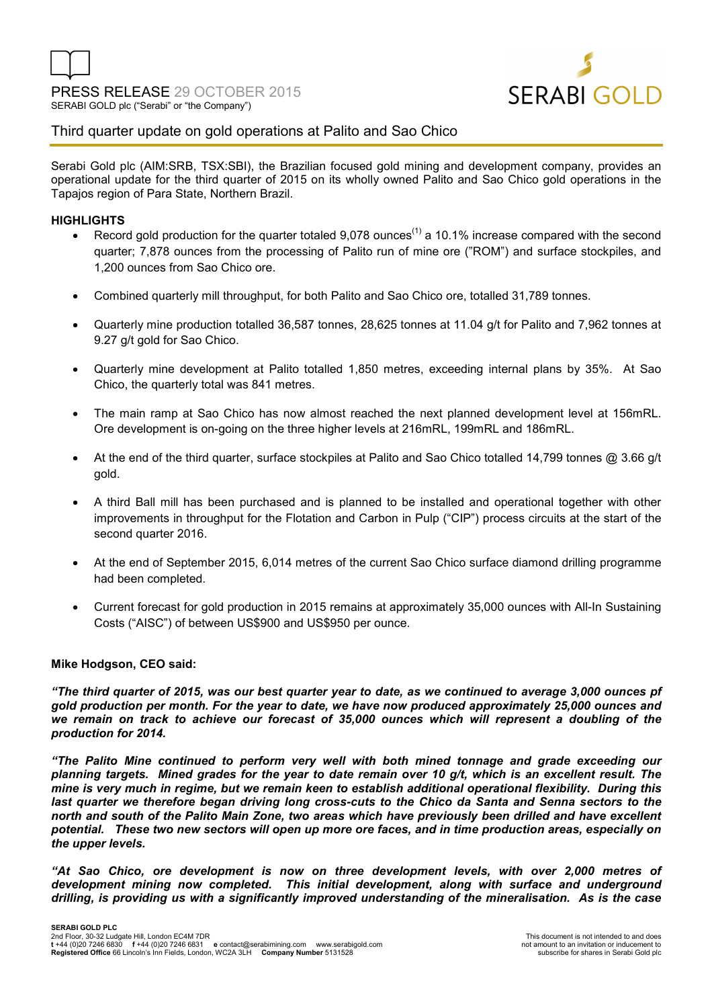

# Third quarter update on gold operations at Palito and Sao Chico

Serabi Gold plc (AIM:SRB, TSX:SBI), the Brazilian focused gold mining and development company, provides an operational update for the third quarter of 2015 on its wholly owned Palito and Sao Chico gold operations in the Tapajos region of Para State, Northern Brazil.

## **HIGHLIGHTS**

- Record gold production for the quarter totaled 9.078 ounces<sup>(1)</sup> a 10.1% increase compared with the second quarter; 7,878 ounces from the processing of Palito run of mine ore ("ROM") and surface stockpiles, and 1,200 ounces from Sao Chico ore.
- Combined quarterly mill throughput, for both Palito and Sao Chico ore, totalled 31,789 tonnes.
- Quarterly mine production totalled 36,587 tonnes, 28,625 tonnes at 11.04 g/t for Palito and 7,962 tonnes at 9.27 g/t gold for Sao Chico.
- Quarterly mine development at Palito totalled 1,850 metres, exceeding internal plans by 35%. At Sao Chico, the quarterly total was 841 metres.
- The main ramp at Sao Chico has now almost reached the next planned development level at 156mRL. Ore development is on-going on the three higher levels at 216mRL, 199mRL and 186mRL.
- At the end of the third quarter, surface stockpiles at Palito and Sao Chico totalled 14,799 tonnes @ 3.66 g/t gold.
- A third Ball mill has been purchased and is planned to be installed and operational together with other improvements in throughput for the Flotation and Carbon in Pulp ("CIP") process circuits at the start of the second quarter 2016.
- At the end of September 2015, 6,014 metres of the current Sao Chico surface diamond drilling programme had been completed.
- Current forecast for gold production in 2015 remains at approximately 35,000 ounces with All-In Sustaining Costs ("AISC") of between US\$900 and US\$950 per ounce.

## **Mike Hodgson, CEO said:**

*"The third quarter of 2015, was our best quarter year to date, as we continued to average 3,000 ounces pf gold production per month. For the year to date, we have now produced approximately 25,000 ounces and we remain on track to achieve our forecast of 35,000 ounces which will represent a doubling of the production for 2014.* 

*"The Palito Mine continued to perform very well with both mined tonnage and grade exceeding our planning targets. Mined grades for the year to date remain over 10 g/t, which is an excellent result. The mine is very much in regime, but we remain keen to establish additional operational flexibility. During this last quarter we therefore began driving long cross-cuts to the Chico da Santa and Senna sectors to the north and south of the Palito Main Zone, two areas which have previously been drilled and have excellent potential. These two new sectors will open up more ore faces, and in time production areas, especially on the upper levels.* 

"At Sao Chico, ore development is now on three development levels, with over 2,000 metres of *development mining now completed. This initial development, along with surface and underground drilling, is providing us with a significantly improved understanding of the mineralisation. As is the case*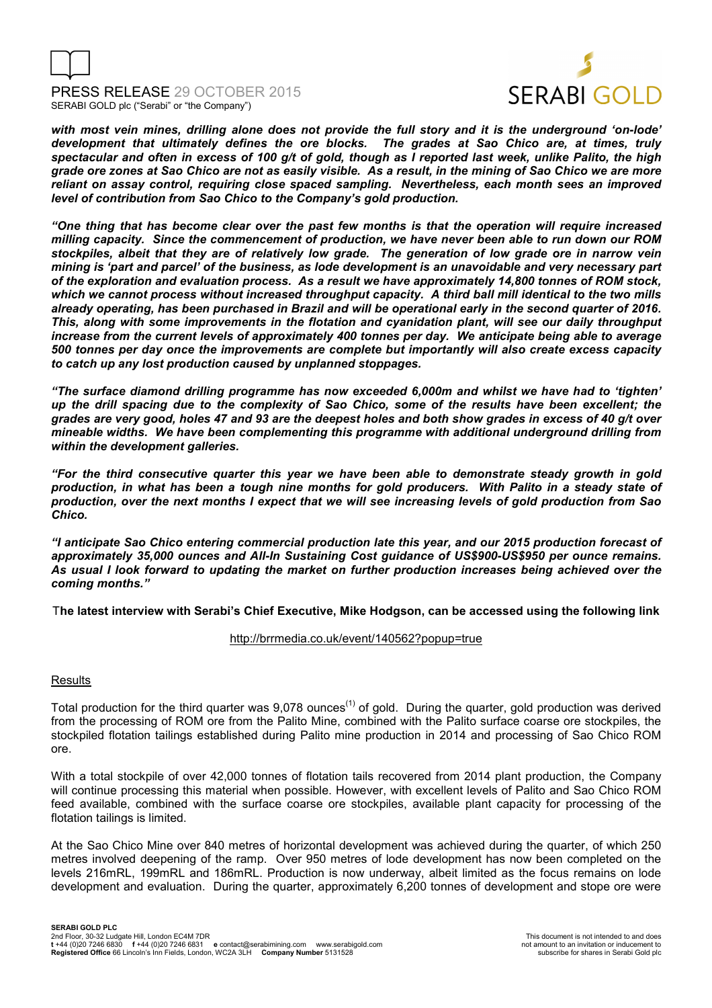



*with most vein mines, drilling alone does not provide the full story and it is the underground 'on-lode' development that ultimately defines the ore blocks. The grades at Sao Chico are, at times, truly spectacular and often in excess of 100 g/t of gold, though as I reported last week, unlike Palito, the high grade ore zones at Sao Chico are not as easily visible. As a result, in the mining of Sao Chico we are more reliant on assay control, requiring close spaced sampling. Nevertheless, each month sees an improved level of contribution from Sao Chico to the Company's gold production.* 

*"One thing that has become clear over the past few months is that the operation will require increased milling capacity. Since the commencement of production, we have never been able to run down our ROM stockpiles, albeit that they are of relatively low grade. The generation of low grade ore in narrow vein mining is 'part and parcel' of the business, as lode development is an unavoidable and very necessary part of the exploration and evaluation process. As a result we have approximately 14,800 tonnes of ROM stock, which we cannot process without increased throughput capacity. A third ball mill identical to the two mills already operating, has been purchased in Brazil and will be operational early in the second quarter of 2016. This, along with some improvements in the flotation and cyanidation plant, will see our daily throughput increase from the current levels of approximately 400 tonnes per day. We anticipate being able to average 500 tonnes per day once the improvements are complete but importantly will also create excess capacity to catch up any lost production caused by unplanned stoppages.* 

*"The surface diamond drilling programme has now exceeded 6,000m and whilst we have had to 'tighten' up the drill spacing due to the complexity of Sao Chico, some of the results have been excellent; the grades are very good, holes 47 and 93 are the deepest holes and both show grades in excess of 40 g/t over mineable widths. We have been complementing this programme with additional underground drilling from within the development galleries.* 

*"For the third consecutive quarter this year we have been able to demonstrate steady growth in gold production, in what has been a tough nine months for gold producers. With Palito in a steady state of production, over the next months I expect that we will see increasing levels of gold production from Sao Chico.* 

*"I anticipate Sao Chico entering commercial production late this year, and our 2015 production forecast of approximately 35,000 ounces and All-In Sustaining Cost guidance of US\$900-US\$950 per ounce remains. As usual I look forward to updating the market on further production increases being achieved over the coming months."* 

T**he latest interview with Serabi's Chief Executive, Mike Hodgson, can be accessed using the following link** 

# http://brrmedia.co.uk/event/140562?popup=true

## **Results**

Total production for the third quarter was 9,078 ounces<sup>(1)</sup> of gold. During the quarter, gold production was derived from the processing of ROM ore from the Palito Mine, combined with the Palito surface coarse ore stockpiles, the stockpiled flotation tailings established during Palito mine production in 2014 and processing of Sao Chico ROM ore.

With a total stockpile of over 42,000 tonnes of flotation tails recovered from 2014 plant production, the Company will continue processing this material when possible. However, with excellent levels of Palito and Sao Chico ROM feed available, combined with the surface coarse ore stockpiles, available plant capacity for processing of the flotation tailings is limited.

At the Sao Chico Mine over 840 metres of horizontal development was achieved during the quarter, of which 250 metres involved deepening of the ramp. Over 950 metres of lode development has now been completed on the levels 216mRL, 199mRL and 186mRL. Production is now underway, albeit limited as the focus remains on lode development and evaluation. During the quarter, approximately 6,200 tonnes of development and stope ore were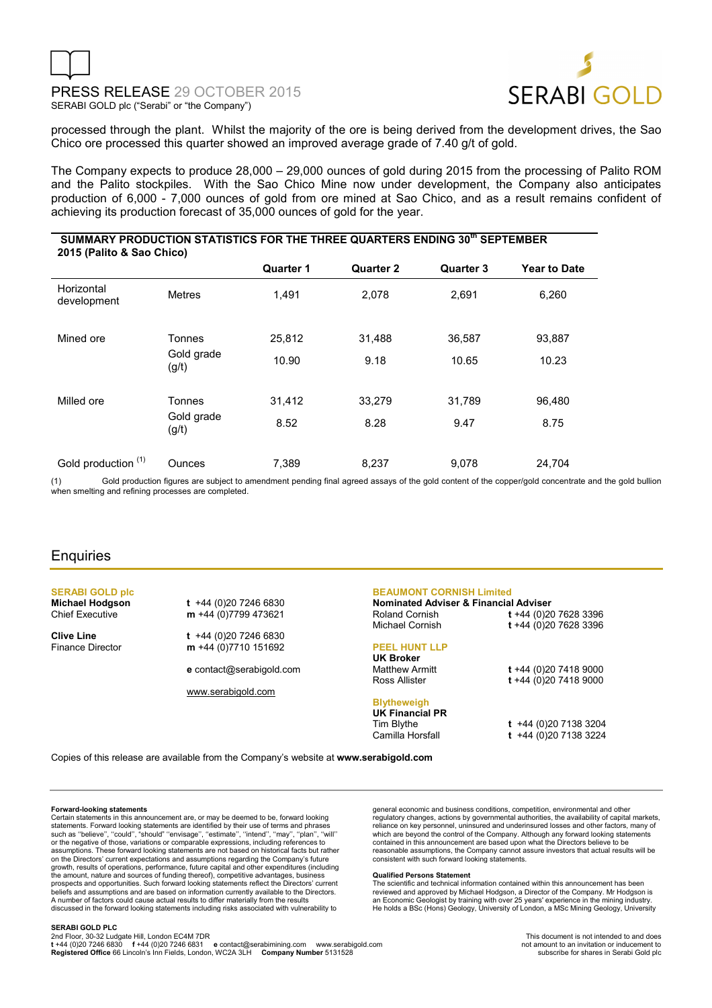



processed through the plant. Whilst the majority of the ore is being derived from the development drives, the Sao Chico ore processed this quarter showed an improved average grade of 7.40 g/t of gold.

The Company expects to produce 28,000 – 29,000 ounces of gold during 2015 from the processing of Palito ROM and the Palito stockpiles. With the Sao Chico Mine now under development, the Company also anticipates production of 6,000 - 7,000 ounces of gold from ore mined at Sao Chico, and as a result remains confident of achieving its production forecast of 35,000 ounces of gold for the year.

| SUMMARY PRODUCTION STATISTICS FOR THE THREE QUARTERS ENDING 30 <sup>th</sup> SEPTEMBER<br>2015 (Palito & Sao Chico) |                               |                  |                  |                  |                     |
|---------------------------------------------------------------------------------------------------------------------|-------------------------------|------------------|------------------|------------------|---------------------|
|                                                                                                                     |                               | <b>Quarter 1</b> | <b>Quarter 2</b> | <b>Quarter 3</b> | <b>Year to Date</b> |
| Horizontal<br>development                                                                                           | <b>Metres</b>                 | 1.491            | 2.078            | 2.691            | 6,260               |
| Mined ore                                                                                                           | Tonnes<br>Gold grade<br>(g/t) | 25,812           | 31,488           | 36,587           | 93,887              |
|                                                                                                                     |                               | 10.90            | 9.18             | 10.65            | 10.23               |
| Milled ore                                                                                                          | Tonnes<br>Gold grade<br>(g/t) | 31,412           | 33,279           | 31,789           | 96,480              |
|                                                                                                                     |                               | 8.52             | 8.28             | 9.47             | 8.75                |
| Gold production (1)                                                                                                 | Ounces                        | 7,389            | 8,237            | 9,078            | 24,704              |

(1) Gold production figures are subject to amendment pending final agreed assays of the gold content of the copper/gold concentrate and the gold bullion when smelting and refining processes are completed.

# **Enquiries**

**SERABI GOLD plc** 

**Michael Hodgson t** +44 (0)20 7246 6830<br>Chief Executive **m** +44 (0)7799 473621 m +44 (0)7799 473621

**Clive Line** t +44 (0)20 7246 6830<br>Finance Director **m** +44 (0)7710 151692 m +44 (0)7710 151692

**e** contact@serabigold.com

www.serabigold.com

## **BEAUMONT CORNISH Limited**

**Nominated Adviser & Financial Adviser**  Roland Cornish **t** +44 (0)20 7628 3396 Michael Cornish **t** +44 (0)20 7628 3396

### **PEEL HUNT LLP**

**UK Broker** Matthew Armitt **t** +44 (0)20 7418 9000 Ross Allister **t** +44 (0)20 7418 9000

## **Blytheweigh**

**UK Financial PR**  Tim Blythe **t** +44 (0)20 7138 3204

Camilla Horsfall **t** +44 (0)20 7138 3224

Copies of this release are available from the Company's website at **www.serabigold.com** 

#### **Forward-looking statements**

Certain statements in this announcement are, or may be deemed to be, forward looking statements. Forward looking statements are identified by their use of terms and phrases<br>such as "believe", "could", "should" "envisage", "estimate", "intend", "may", "plan", "will"<br>or the negative of those, variations or c on the Directors' current expectations and assumptions regarding the Company's future<br>growth, results of operations, performance, future capital and other expenditures (including<br>the amount, nature and sources of funding t beliefs and assumptions and are based on information currently available to the Directors. A number of factors could cause actual results to differ materially from the results discussed in the forward looking statements including risks associated with vulnerability to

general economic and business conditions, competition, environmental and other regulatory changes, actions by governmental authorities, the availability of capital markets,<br>reliance on key personnel, uninsured and underinsured losses and other factors, many of<br>which are beyond the control of the Comp reasonable assumptions, the Company cannot assure investors that actual results will be consistent with such forward looking statements.

#### **Qualified Persons Statement**

The scientific and technical information contained within this announcement has been reviewed and approved by Michael Hodgson, a Director of the Company. Mr Hodgson is<br>an Economic Geologist by training with over 25 years' experience in the mining industry.<br>He holds a BSc (Hons) Geology, University of Londo

#### **SERABI GOLD PLC**

2nd Floor, 30-32 Ludgate Hill, London EC4M 7DR<br>**t +44 (0)20 7246 6830 f +44 (0)20 7246 6831 e** contact@serabimining.com www.serabigold.com and the marked on the<br>Re**gistered Office** 66 Lincoln's Inn Fields, London, WC2A 3